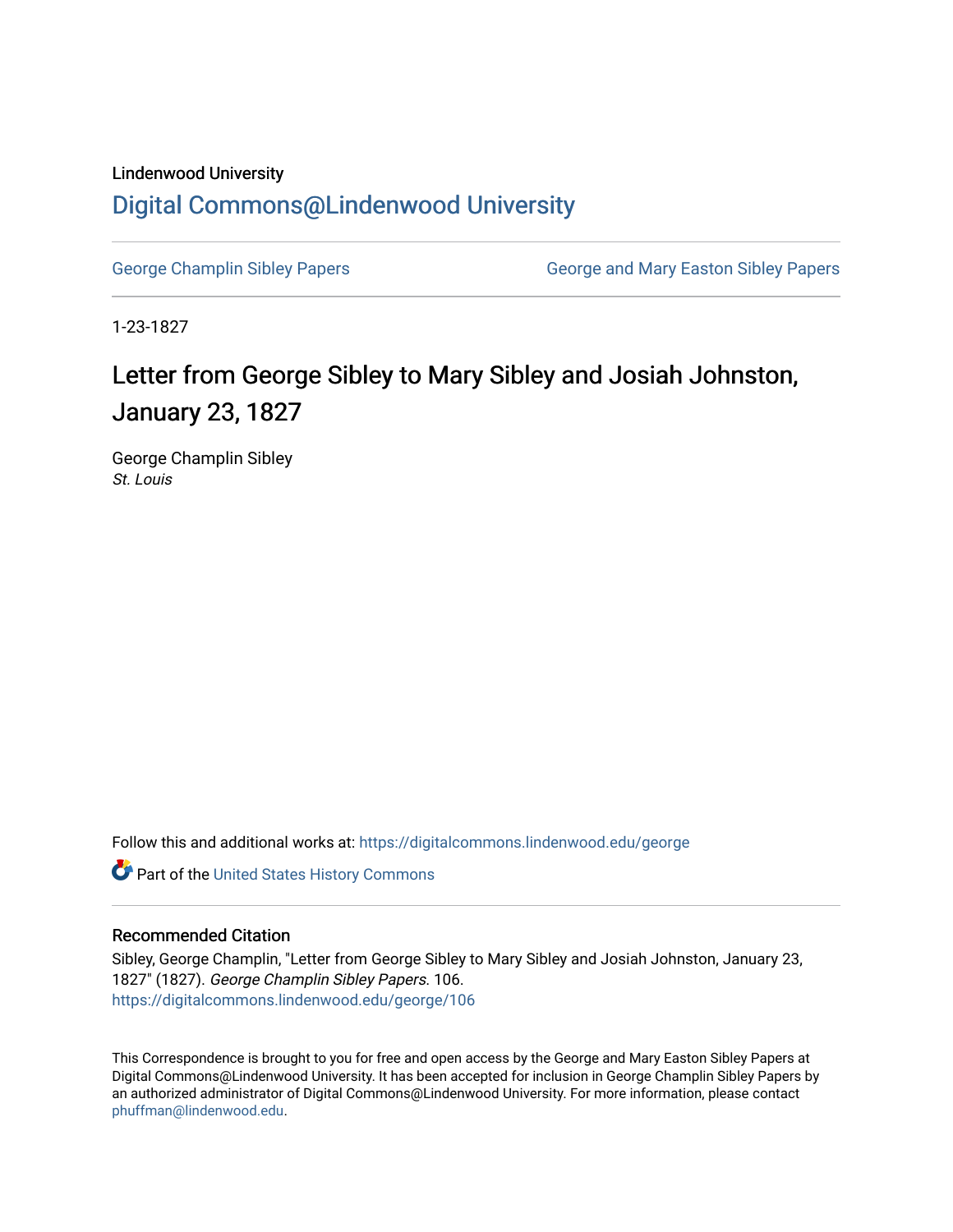## Lindenwood University [Digital Commons@Lindenwood University](https://digitalcommons.lindenwood.edu/)

[George Champlin Sibley Papers](https://digitalcommons.lindenwood.edu/george) **George and Mary Easton Sibley Papers** George and Mary Easton Sibley Papers

1-23-1827

## Letter from George Sibley to Mary Sibley and Josiah Johnston, January 23, 1827

George Champlin Sibley St. Louis

Follow this and additional works at: [https://digitalcommons.lindenwood.edu/george](https://digitalcommons.lindenwood.edu/george?utm_source=digitalcommons.lindenwood.edu%2Fgeorge%2F106&utm_medium=PDF&utm_campaign=PDFCoverPages)

Part of the [United States History Commons](http://network.bepress.com/hgg/discipline/495?utm_source=digitalcommons.lindenwood.edu%2Fgeorge%2F106&utm_medium=PDF&utm_campaign=PDFCoverPages) 

## Recommended Citation

Sibley, George Champlin, "Letter from George Sibley to Mary Sibley and Josiah Johnston, January 23, 1827" (1827). George Champlin Sibley Papers. 106. [https://digitalcommons.lindenwood.edu/george/106](https://digitalcommons.lindenwood.edu/george/106?utm_source=digitalcommons.lindenwood.edu%2Fgeorge%2F106&utm_medium=PDF&utm_campaign=PDFCoverPages)

This Correspondence is brought to you for free and open access by the George and Mary Easton Sibley Papers at Digital Commons@Lindenwood University. It has been accepted for inclusion in George Champlin Sibley Papers by an authorized administrator of Digital Commons@Lindenwood University. For more information, please contact [phuffman@lindenwood.edu](mailto:phuffman@lindenwood.edu).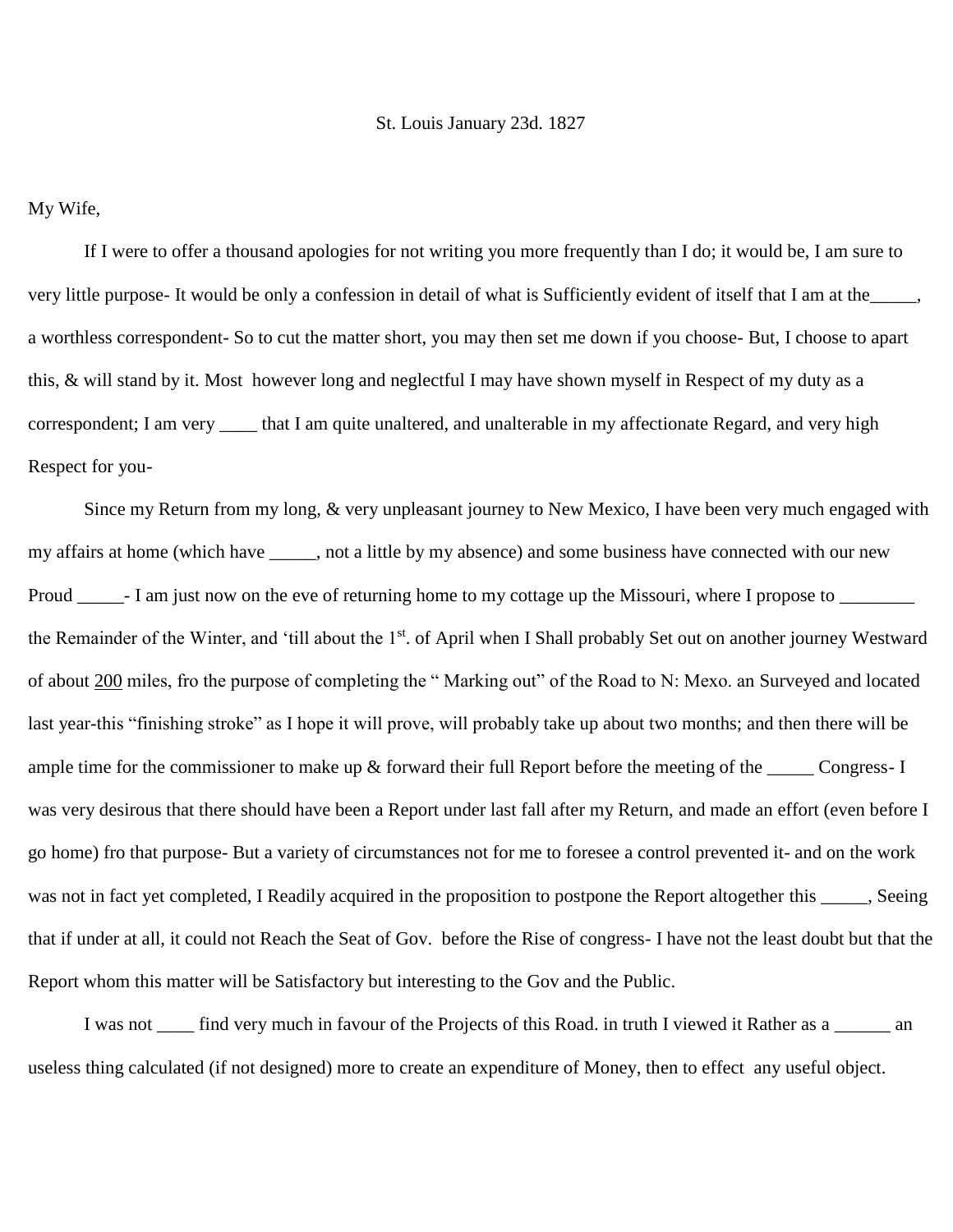## St. Louis January 23d. 1827

My Wife,

If I were to offer a thousand apologies for not writing you more frequently than I do; it would be, I am sure to very little purpose- It would be only a confession in detail of what is Sufficiently evident of itself that I am at the\_\_\_\_\_, a worthless correspondent- So to cut the matter short, you may then set me down if you choose- But, I choose to apart this, & will stand by it. Most however long and neglectful I may have shown myself in Respect of my duty as a correspondent; I am very \_\_\_\_ that I am quite unaltered, and unalterable in my affectionate Regard, and very high Respect for you-

Since my Return from my long, & very unpleasant journey to New Mexico, I have been very much engaged with my affairs at home (which have \_\_\_\_\_, not a little by my absence) and some business have connected with our new Proud \_\_\_\_\_\_- I am just now on the eve of returning home to my cottage up the Missouri, where I propose to \_\_\_\_\_\_\_\_ the Remainder of the Winter, and 'till about the 1<sup>st</sup>. of April when I Shall probably Set out on another journey Westward of about 200 miles, fro the purpose of completing the " Marking out" of the Road to N: Mexo. an Surveyed and located last year-this "finishing stroke" as I hope it will prove, will probably take up about two months; and then there will be ample time for the commissioner to make up  $\&$  forward their full Report before the meeting of the \_\_\_\_\_ Congress- I was very desirous that there should have been a Report under last fall after my Return, and made an effort (even before I go home) fro that purpose- But a variety of circumstances not for me to foresee a control prevented it- and on the work was not in fact yet completed, I Readily acquired in the proposition to postpone the Report altogether this \_\_\_\_\_, Seeing that if under at all, it could not Reach the Seat of Gov. before the Rise of congress- I have not the least doubt but that the Report whom this matter will be Satisfactory but interesting to the Gov and the Public.

I was not \_\_\_\_ find very much in favour of the Projects of this Road. in truth I viewed it Rather as a \_\_\_\_\_\_ an useless thing calculated (if not designed) more to create an expenditure of Money, then to effect any useful object.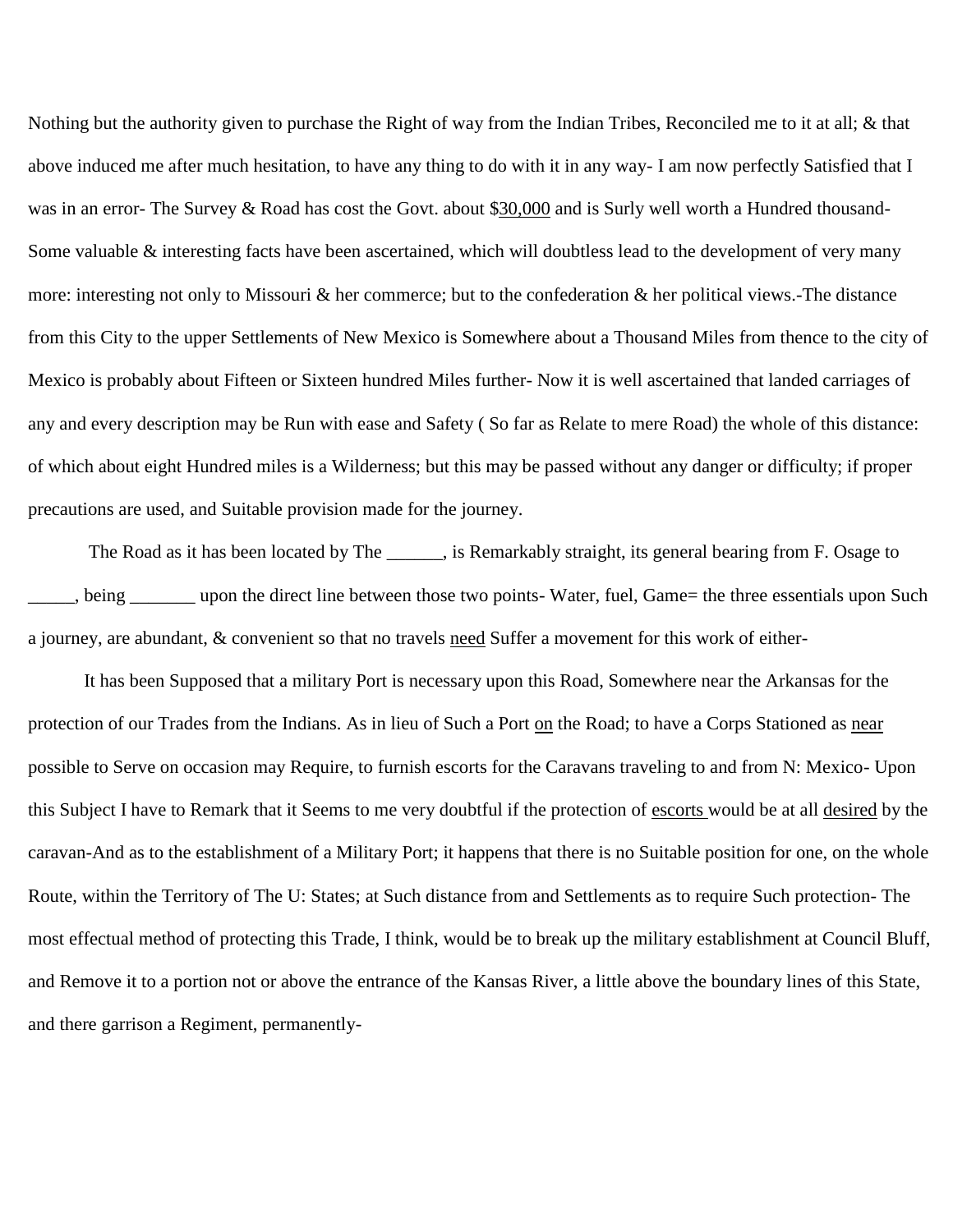Nothing but the authority given to purchase the Right of way from the Indian Tribes, Reconciled me to it at all; & that above induced me after much hesitation, to have any thing to do with it in any way- I am now perfectly Satisfied that I was in an error- The Survey & Road has cost the Govt. about \$30,000 and is Surly well worth a Hundred thousand-Some valuable & interesting facts have been ascertained, which will doubtless lead to the development of very many more: interesting not only to Missouri & her commerce; but to the confederation & her political views.-The distance from this City to the upper Settlements of New Mexico is Somewhere about a Thousand Miles from thence to the city of Mexico is probably about Fifteen or Sixteen hundred Miles further- Now it is well ascertained that landed carriages of any and every description may be Run with ease and Safety ( So far as Relate to mere Road) the whole of this distance: of which about eight Hundred miles is a Wilderness; but this may be passed without any danger or difficulty; if proper precautions are used, and Suitable provision made for the journey.

The Road as it has been located by The \_\_\_\_\_\_, is Remarkably straight, its general bearing from F. Osage to heta upon the direct line between those two points- Water, fuel, Game= the three essentials upon Such a journey, are abundant, & convenient so that no travels need Suffer a movement for this work of either-

It has been Supposed that a military Port is necessary upon this Road, Somewhere near the Arkansas for the protection of our Trades from the Indians. As in lieu of Such a Port on the Road; to have a Corps Stationed as near possible to Serve on occasion may Require, to furnish escorts for the Caravans traveling to and from N: Mexico- Upon this Subject I have to Remark that it Seems to me very doubtful if the protection of escorts would be at all desired by the caravan-And as to the establishment of a Military Port; it happens that there is no Suitable position for one, on the whole Route, within the Territory of The U: States; at Such distance from and Settlements as to require Such protection- The most effectual method of protecting this Trade, I think, would be to break up the military establishment at Council Bluff, and Remove it to a portion not or above the entrance of the Kansas River, a little above the boundary lines of this State, and there garrison a Regiment, permanently-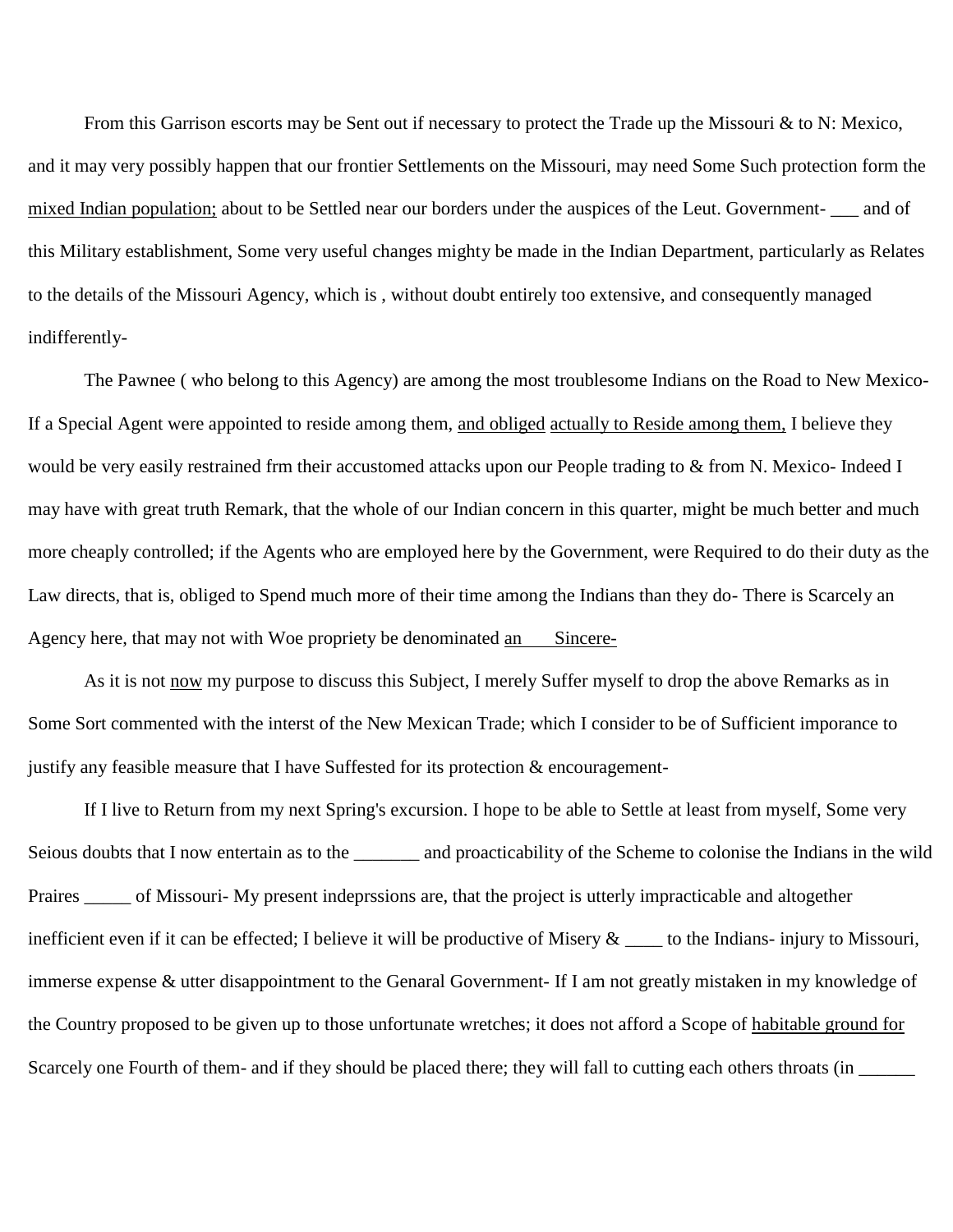From this Garrison escorts may be Sent out if necessary to protect the Trade up the Missouri & to N: Mexico, and it may very possibly happen that our frontier Settlements on the Missouri, may need Some Such protection form the mixed Indian population; about to be Settled near our borders under the auspices of the Leut. Government- \_\_\_ and of this Military establishment, Some very useful changes mighty be made in the Indian Department, particularly as Relates to the details of the Missouri Agency, which is , without doubt entirely too extensive, and consequently managed indifferently-

The Pawnee ( who belong to this Agency) are among the most troublesome Indians on the Road to New Mexico-If a Special Agent were appointed to reside among them, and obliged actually to Reside among them, I believe they would be very easily restrained frm their accustomed attacks upon our People trading to & from N. Mexico- Indeed I may have with great truth Remark, that the whole of our Indian concern in this quarter, might be much better and much more cheaply controlled; if the Agents who are employed here by the Government, were Required to do their duty as the Law directs, that is, obliged to Spend much more of their time among the Indians than they do- There is Scarcely an Agency here, that may not with Woe propriety be denominated an Sincere-

As it is not now my purpose to discuss this Subject, I merely Suffer myself to drop the above Remarks as in Some Sort commented with the interst of the New Mexican Trade; which I consider to be of Sufficient imporance to justify any feasible measure that I have Suffested for its protection  $\&$  encouragement-

If I live to Return from my next Spring's excursion. I hope to be able to Settle at least from myself, Some very Seious doubts that I now entertain as to the \_\_\_\_\_\_\_ and proacticability of the Scheme to colonise the Indians in the wild Praires \_\_\_\_\_ of Missouri- My present indeprssions are, that the project is utterly impracticable and altogether inefficient even if it can be effected; I believe it will be productive of Misery  $\&$  \_\_\_\_ to the Indians- injury to Missouri, immerse expense & utter disappointment to the Genaral Government- If I am not greatly mistaken in my knowledge of the Country proposed to be given up to those unfortunate wretches; it does not afford a Scope of habitable ground for Scarcely one Fourth of them- and if they should be placed there; they will fall to cutting each others throats (in  $\Box$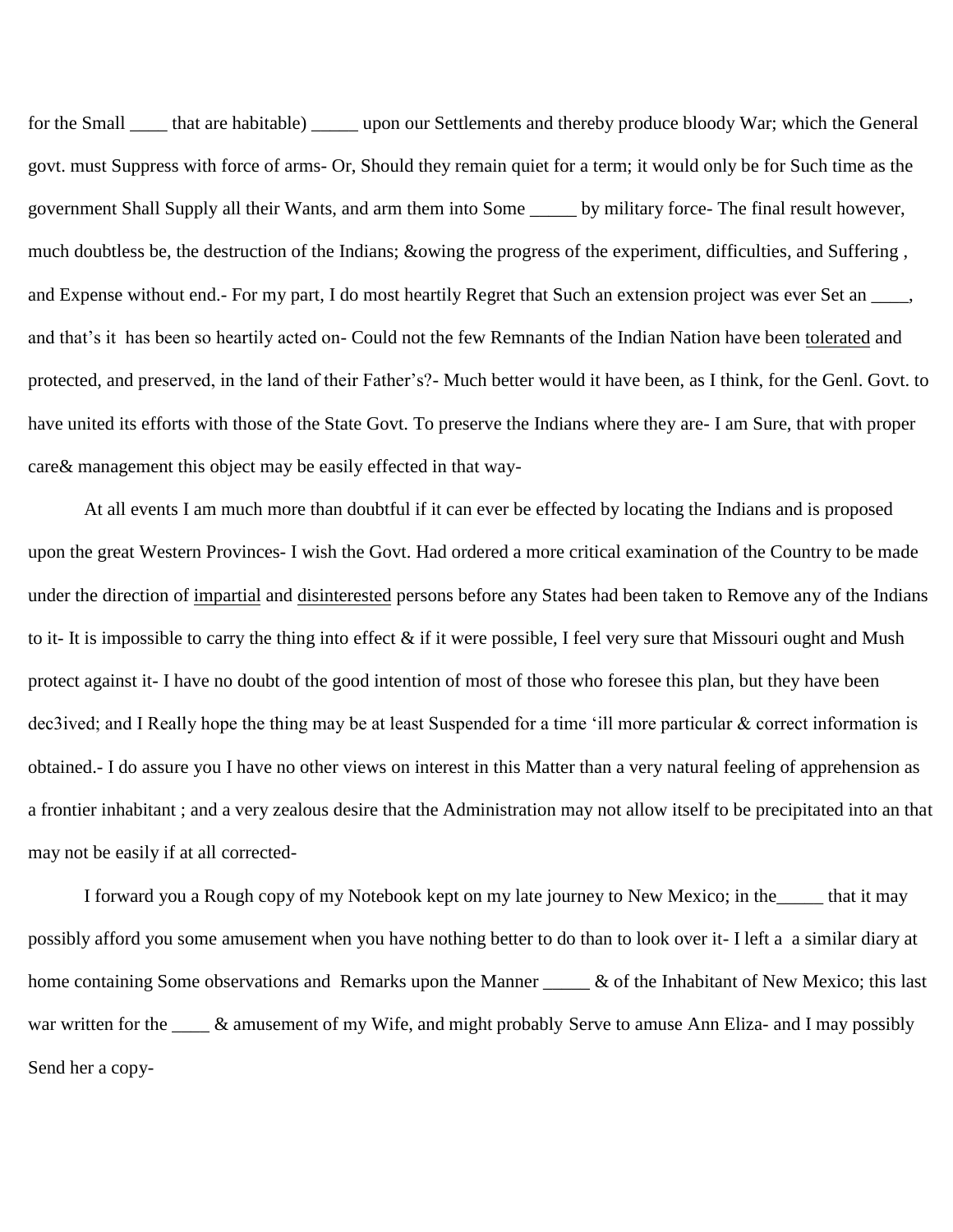for the Small \_\_\_\_\_ that are habitable) \_\_\_\_\_\_ upon our Settlements and thereby produce bloody War; which the General govt. must Suppress with force of arms- Or, Should they remain quiet for a term; it would only be for Such time as the government Shall Supply all their Wants, and arm them into Some \_\_\_\_\_ by military force- The final result however, much doubtless be, the destruction of the Indians; &owing the progress of the experiment, difficulties, and Suffering , and Expense without end.- For my part, I do most heartily Regret that Such an extension project was ever Set an \_\_\_\_, and that's it has been so heartily acted on- Could not the few Remnants of the Indian Nation have been tolerated and protected, and preserved, in the land of their Father's?- Much better would it have been, as I think, for the Genl. Govt. to have united its efforts with those of the State Govt. To preserve the Indians where they are- I am Sure, that with proper care& management this object may be easily effected in that way-

At all events I am much more than doubtful if it can ever be effected by locating the Indians and is proposed upon the great Western Provinces- I wish the Govt. Had ordered a more critical examination of the Country to be made under the direction of impartial and disinterested persons before any States had been taken to Remove any of the Indians to it- It is impossible to carry the thing into effect  $\&$  if it were possible, I feel very sure that Missouri ought and Mush protect against it- I have no doubt of the good intention of most of those who foresee this plan, but they have been dec3ived; and I Really hope the thing may be at least Suspended for a time 'ill more particular & correct information is obtained.- I do assure you I have no other views on interest in this Matter than a very natural feeling of apprehension as a frontier inhabitant ; and a very zealous desire that the Administration may not allow itself to be precipitated into an that may not be easily if at all corrected-

I forward you a Rough copy of my Notebook kept on my late journey to New Mexico; in the\_\_\_\_\_ that it may possibly afford you some amusement when you have nothing better to do than to look over it- I left a a similar diary at home containing Some observations and Remarks upon the Manner \_\_\_\_\_ & of the Inhabitant of New Mexico; this last war written for the \_\_\_\_ & amusement of my Wife, and might probably Serve to amuse Ann Eliza- and I may possibly Send her a copy-